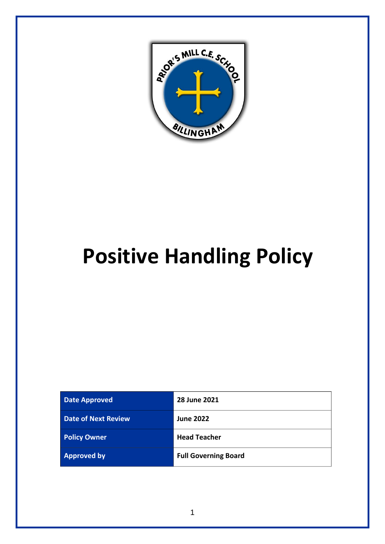

# **Positive Handling Policy**

| <b>Date Approved</b>       | 28 June 2021                |
|----------------------------|-----------------------------|
| <b>Date of Next Review</b> | <b>June 2022</b>            |
| <b>Policy Owner</b>        | <b>Head Teacher</b>         |
| <b>Approved by</b>         | <b>Full Governing Board</b> |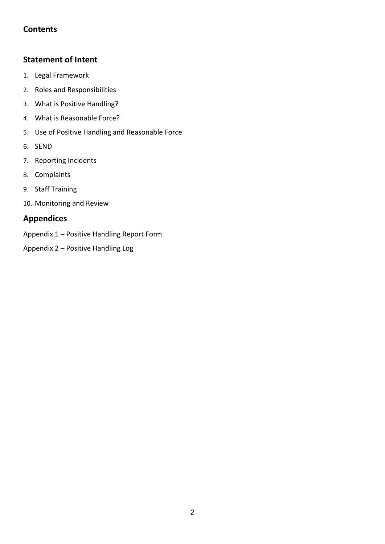# **Contents**

# **[Statement of Intent](#page-2-0)**

- 1. [Legal Framework](#page-3-0)
- 2. [Roles and Responsibilities](#page-3-1)
- 3. [What is Positive Handling?](#page-4-0)
- 4. [What is Reasonable Force?](#page-4-1)
- 5. [Use of Positive Handling and Reasonable Force](#page-5-0)
- 6. [SEND](#page-6-0)
- 7. [Reporting Incidents](#page-6-1)
- 8. [Complaints](#page-7-0)
- 9. [Staff Training](#page-7-1)
- 10. [Monitoring and Review](#page-8-0)

# **Appendices**

- Appendix 1 Positive Handling Report Form
- Appendix 2 [Positive Handling Log](#page-11-0)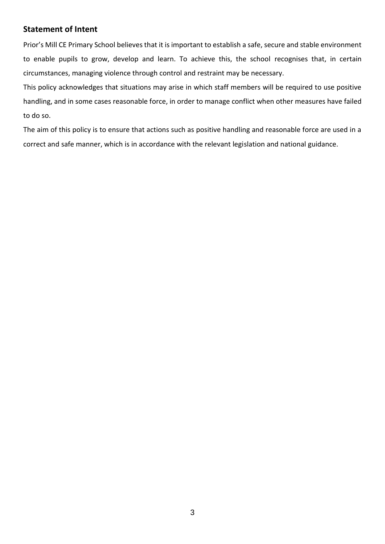# <span id="page-2-0"></span>**Statement of Intent**

Prior's Mill CE Primary School believes that it is important to establish a safe, secure and stable environment to enable pupils to grow, develop and learn. To achieve this, the school recognises that, in certain circumstances, managing violence through control and restraint may be necessary.

This policy acknowledges that situations may arise in which staff members will be required to use positive handling, and in some cases reasonable force, in order to manage conflict when other measures have failed to do so.

The aim of this policy is to ensure that actions such as positive handling and reasonable force are used in a correct and safe manner, which is in accordance with the relevant legislation and national guidance.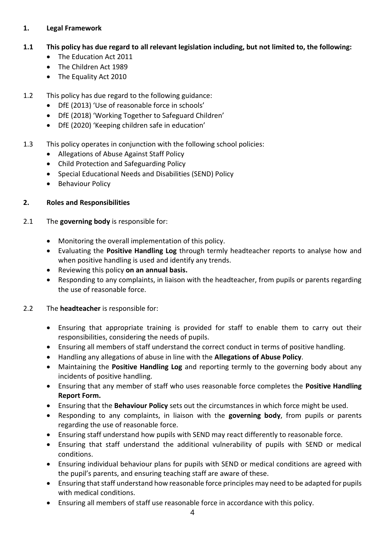# <span id="page-3-0"></span>**1. Legal Framework**

# **1.1 This policy has due regard to all relevant legislation including, but not limited to, the following:**

- The Education Act 2011
- The Children Act 1989
- The Equality Act 2010
- 1.2 This policy has due regard to the following guidance:
	- DfE (2013) 'Use of reasonable force in schools'
	- DfE (2018) 'Working Together to Safeguard Children'
	- DfE (2020) 'Keeping children safe in education'
- 1.3 This policy operates in conjunction with the following school policies:
	- Allegations of Abuse Against Staff Policy
	- Child Protection and Safeguarding Policy
	- Special Educational Needs and Disabilities (SEND) Policy
	- Behaviour Policy

# <span id="page-3-1"></span>**2. Roles and Responsibilities**

- 2.1 The **governing body** is responsible for:
	- Monitoring the overall implementation of this policy.
	- Evaluating the **[Positive Handling Log](#page-11-0)** through termly headteacher reports to analyse how and when positive handling is used and identify any trends.
	- Reviewing this policy **on an annual basis.**
	- Responding to any complaints, in liaison with the headteacher, from pupils or parents regarding the use of reasonable force.

# 2.2 The **headteacher** is responsible for:

- Ensuring that appropriate training is provided for staff to enable them to carry out their responsibilities, considering the needs of pupils.
- Ensuring all members of staff understand the correct conduct in terms of positive handling.
- Handling any allegations of abuse in line with the **Allegations of Abuse Policy**.
- Maintaining the **[Positive Handling Log](#page-11-0)** and reporting termly to the governing body about any incidents of positive handling.
- Ensuring that any member of staff who uses reasonable force completes the **[Positive Handling](#page-8-1)  [Report Form.](#page-8-1)**
- Ensuring that the **Behaviour Policy** sets out the circumstances in which force might be used.
- Responding to any complaints, in liaison with the **governing body**, from pupils or parents regarding the use of reasonable force.
- Ensuring staff understand how pupils with SEND may react differently to reasonable force.
- Ensuring that staff understand the additional vulnerability of pupils with SEND or medical conditions.
- Ensuring individual behaviour plans for pupils with SEND or medical conditions are agreed with the pupil's parents, and ensuring teaching staff are aware of these.
- Ensuring that staff understand how reasonable force principles may need to be adapted for pupils with medical conditions.
- Ensuring all members of staff use reasonable force in accordance with this policy.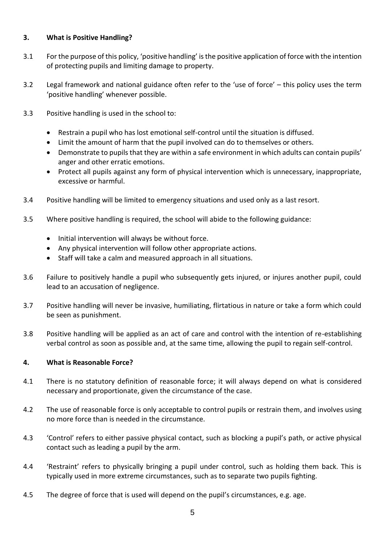### <span id="page-4-0"></span>**3. What is Positive Handling?**

- 3.1 For the purpose of this policy, 'positive handling' is the positive application of force with the intention of protecting pupils and limiting damage to property.
- 3.2 Legal framework and national guidance often refer to the 'use of force' this policy uses the term 'positive handling' whenever possible.
- 3.3 Positive handling is used in the school to:
	- Restrain a pupil who has lost emotional self-control until the situation is diffused.
	- Limit the amount of harm that the pupil involved can do to themselves or others.
	- Demonstrate to pupils that they are within a safe environment in which adults can contain pupils' anger and other erratic emotions.
	- Protect all pupils against any form of physical intervention which is unnecessary, inappropriate, excessive or harmful.
- 3.4 Positive handling will be limited to emergency situations and used only as a last resort.
- 3.5 Where positive handling is required, the school will abide to the following guidance:
	- Initial intervention will always be without force.
	- Any physical intervention will follow other appropriate actions.
	- Staff will take a calm and measured approach in all situations.
- 3.6 Failure to positively handle a pupil who subsequently gets injured, or injures another pupil, could lead to an accusation of negligence.
- 3.7 Positive handling will never be invasive, humiliating, flirtatious in nature or take a form which could be seen as punishment.
- 3.8 Positive handling will be applied as an act of care and control with the intention of re-establishing verbal control as soon as possible and, at the same time, allowing the pupil to regain self-control.

#### <span id="page-4-1"></span>**4. What is Reasonable Force?**

- 4.1 There is no statutory definition of reasonable force; it will always depend on what is considered necessary and proportionate, given the circumstance of the case.
- 4.2 The use of reasonable force is only acceptable to control pupils or restrain them, and involves using no more force than is needed in the circumstance.
- 4.3 'Control' refers to either passive physical contact, such as blocking a pupil's path, or active physical contact such as leading a pupil by the arm.
- 4.4 'Restraint' refers to physically bringing a pupil under control, such as holding them back. This is typically used in more extreme circumstances, such as to separate two pupils fighting.
- 4.5 The degree of force that is used will depend on the pupil's circumstances, e.g. age.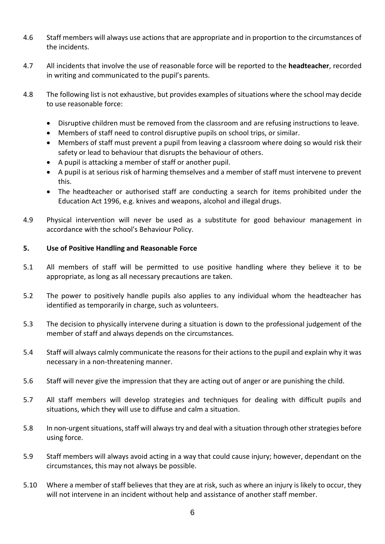- 4.6 Staff members will always use actions that are appropriate and in proportion to the circumstances of the incidents.
- 4.7 All incidents that involve the use of reasonable force will be reported to the **headteacher**, recorded in writing and communicated to the pupil's parents.
- 4.8 The following list is not exhaustive, but provides examples of situations where the school may decide to use reasonable force:
	- Disruptive children must be removed from the classroom and are refusing instructions to leave.
	- Members of staff need to control disruptive pupils on school trips, or similar.
	- Members of staff must prevent a pupil from leaving a classroom where doing so would risk their safety or lead to behaviour that disrupts the behaviour of others.
	- A pupil is attacking a member of staff or another pupil.
	- A pupil is at serious risk of harming themselves and a member of staff must intervene to prevent this.
	- The headteacher or authorised staff are conducting a search for items prohibited under the Education Act 1996, e.g. knives and weapons, alcohol and illegal drugs.
- 4.9 Physical intervention will never be used as a substitute for good behaviour management in accordance with the school's Behaviour Policy.

# <span id="page-5-0"></span>**5. Use of Positive Handling and Reasonable Force**

- 5.1 All members of staff will be permitted to use positive handling where they believe it to be appropriate, as long as all necessary precautions are taken.
- 5.2 The power to positively handle pupils also applies to any individual whom the headteacher has identified as temporarily in charge, such as volunteers.
- 5.3 The decision to physically intervene during a situation is down to the professional judgement of the member of staff and always depends on the circumstances.
- 5.4 Staff will always calmly communicate the reasons for their actions to the pupil and explain why it was necessary in a non-threatening manner.
- 5.6 Staff will never give the impression that they are acting out of anger or are punishing the child.
- 5.7 All staff members will develop strategies and techniques for dealing with difficult pupils and situations, which they will use to diffuse and calm a situation.
- 5.8 In non-urgent situations, staff will always try and deal with a situation through other strategies before using force.
- 5.9 Staff members will always avoid acting in a way that could cause injury; however, dependant on the circumstances, this may not always be possible.
- 5.10 Where a member of staff believes that they are at risk, such as where an injury is likely to occur, they will not intervene in an incident without help and assistance of another staff member.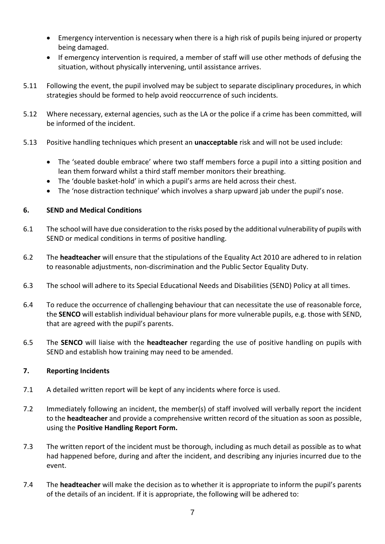- Emergency intervention is necessary when there is a high risk of pupils being injured or property being damaged.
- If emergency intervention is required, a member of staff will use other methods of defusing the situation, without physically intervening, until assistance arrives.
- 5.11 Following the event, the pupil involved may be subject to separate disciplinary procedures, in which strategies should be formed to help avoid reoccurrence of such incidents.
- 5.12 Where necessary, external agencies, such as the LA or the police if a crime has been committed, will be informed of the incident.
- 5.13 Positive handling techniques which present an **unacceptable** risk and will not be used include:
	- The 'seated double embrace' where two staff members force a pupil into a sitting position and lean them forward whilst a third staff member monitors their breathing.
	- The 'double basket-hold' in which a pupil's arms are held across their chest.
	- The 'nose distraction technique' which involves a sharp upward jab under the pupil's nose.

# <span id="page-6-0"></span>**6. SEND and Medical Conditions**

- 6.1 The school will have due consideration to the risks posed by the additional vulnerability of pupils with SEND or medical conditions in terms of positive handling.
- 6.2 The **headteacher** will ensure that the stipulations of the Equality Act 2010 are adhered to in relation to reasonable adjustments, non-discrimination and the Public Sector Equality Duty.
- 6.3 The school will adhere to its Special Educational Needs and Disabilities (SEND) Policy at all times.
- 6.4 To reduce the occurrence of challenging behaviour that can necessitate the use of reasonable force, the **SENCO** will establish individual behaviour plans for more vulnerable pupils, e.g. those with SEND, that are agreed with the pupil's parents.
- 6.5 The **SENCO** will liaise with the **headteacher** regarding the use of positive handling on pupils with SEND and establish how training may need to be amended.

#### <span id="page-6-1"></span>**7. Reporting Incidents**

- 7.1 A detailed written report will be kept of any incidents where force is used.
- 7.2 Immediately following an incident, the member(s) of staff involved will verbally report the incident to the **headteacher** and provide a comprehensive written record of the situation as soon as possible, using the **[Positive Handling Report Form.](#page-8-1)**
- 7.3 The written report of the incident must be thorough, including as much detail as possible as to what had happened before, during and after the incident, and describing any injuries incurred due to the event.
- 7.4 The **headteacher** will make the decision as to whether it is appropriate to inform the pupil's parents of the details of an incident. If it is appropriate, the following will be adhered to: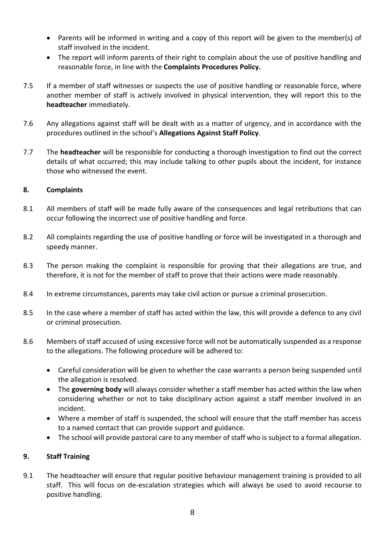- Parents will be informed in writing and a copy of this report will be given to the member(s) of staff involved in the incident.
- The report will inform parents of their right to complain about the use of positive handling and reasonable force, in line with the **Complaints Procedures Policy.**
- 7.5 If a member of staff witnesses or suspects the use of positive handling or reasonable force, where another member of staff is actively involved in physical intervention, they will report this to the **headteacher** immediately.
- 7.6 Any allegations against staff will be dealt with as a matter of urgency, and in accordance with the procedures outlined in the school's **Allegations Against Staff Policy**.
- 7.7 The **headteacher** will be responsible for conducting a thorough investigation to find out the correct details of what occurred; this may include talking to other pupils about the incident, for instance those who witnessed the event.

# <span id="page-7-0"></span>**8. Complaints**

- 8.1 All members of staff will be made fully aware of the consequences and legal retributions that can occur following the incorrect use of positive handling and force.
- 8.2 All complaints regarding the use of positive handling or force will be investigated in a thorough and speedy manner.
- 8.3 The person making the complaint is responsible for proving that their allegations are true, and therefore, it is not for the member of staff to prove that their actions were made reasonably.
- 8.4 In extreme circumstances, parents may take civil action or pursue a criminal prosecution.
- 8.5 In the case where a member of staff has acted within the law, this will provide a defence to any civil or criminal prosecution.
- 8.6 Members of staff accused of using excessive force will not be automatically suspended as a response to the allegations. The following procedure will be adhered to:
	- Careful consideration will be given to whether the case warrants a person being suspended until the allegation is resolved.
	- The **governing body** will always consider whether a staff member has acted within the law when considering whether or not to take disciplinary action against a staff member involved in an incident.
	- Where a member of staff is suspended, the school will ensure that the staff member has access to a named contact that can provide support and guidance.
	- The school will provide pastoral care to any member of staff who is subject to a formal allegation.

# <span id="page-7-1"></span>**9. Staff Training**

9.1 The headteacher will ensure that regular positive behaviour management training is provided to all staff. This will focus on de-escalation strategies which will always be used to avoid recourse to positive handling.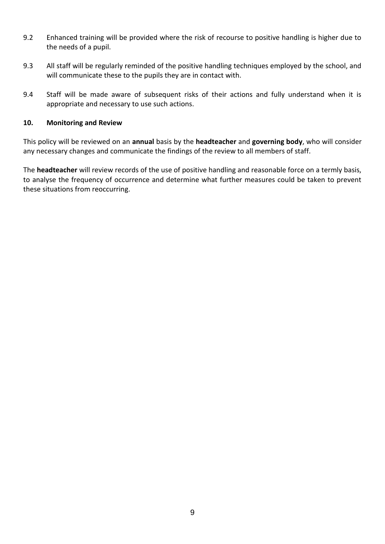- <span id="page-8-2"></span>9.2 Enhanced training will be provided where the risk of recourse to positive handling is higher due to the needs of a pupil.
- 9.3 All staff will be regularly reminded of the positive handling techniques employed by the school, and will communicate these to the pupils they are in contact with.
- 9.4 Staff will be made aware of subsequent risks of their actions and fully understand when it is appropriate and necessary to use such actions.

#### <span id="page-8-0"></span>**10. Monitoring and Review**

This policy will be reviewed on an **annual** basis by the **headteacher** and **governing body**, who will consider any necessary changes and communicate the findings of the review to all members of staff.

<span id="page-8-1"></span>The **headteacher** will review records of the use of positive handling and reasonable force on a termly basis, to analyse the frequency of occurrence and determine what further measures could be taken to prevent these situations from reoccurring.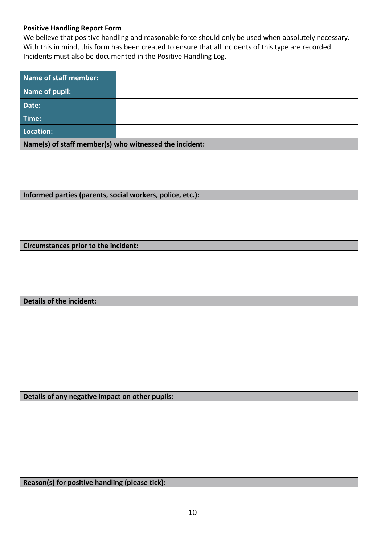# **Positive Handling Report Form**

We believe that positive handling and reasonable force should only be used when absolutely necessary. With this in mind, this form has been created to ensure that all incidents of this type are recorded. Incidents must also be documented in the Positive Handling Log.

| <b>Name of staff member:</b>                              |                                                |  |  |  |  |  |
|-----------------------------------------------------------|------------------------------------------------|--|--|--|--|--|
| Name of pupil:                                            |                                                |  |  |  |  |  |
| Date:                                                     |                                                |  |  |  |  |  |
| Time:                                                     |                                                |  |  |  |  |  |
| Location:                                                 |                                                |  |  |  |  |  |
| Name(s) of staff member(s) who witnessed the incident:    |                                                |  |  |  |  |  |
|                                                           |                                                |  |  |  |  |  |
|                                                           |                                                |  |  |  |  |  |
|                                                           |                                                |  |  |  |  |  |
| Informed parties (parents, social workers, police, etc.): |                                                |  |  |  |  |  |
|                                                           |                                                |  |  |  |  |  |
|                                                           |                                                |  |  |  |  |  |
| Circumstances prior to the incident:                      |                                                |  |  |  |  |  |
|                                                           |                                                |  |  |  |  |  |
|                                                           |                                                |  |  |  |  |  |
|                                                           |                                                |  |  |  |  |  |
|                                                           |                                                |  |  |  |  |  |
| <b>Details of the incident:</b>                           |                                                |  |  |  |  |  |
|                                                           |                                                |  |  |  |  |  |
|                                                           |                                                |  |  |  |  |  |
|                                                           |                                                |  |  |  |  |  |
|                                                           |                                                |  |  |  |  |  |
|                                                           |                                                |  |  |  |  |  |
|                                                           |                                                |  |  |  |  |  |
| Details of any negative impact on other pupils:           |                                                |  |  |  |  |  |
|                                                           |                                                |  |  |  |  |  |
|                                                           |                                                |  |  |  |  |  |
|                                                           |                                                |  |  |  |  |  |
|                                                           |                                                |  |  |  |  |  |
|                                                           |                                                |  |  |  |  |  |
|                                                           | Reason(s) for positive handling (please tick): |  |  |  |  |  |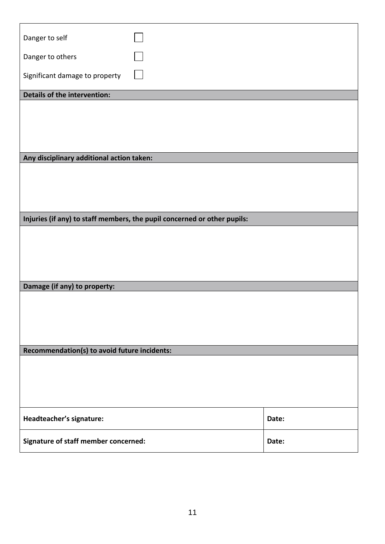| Danger to self                               |                                                                          |       |
|----------------------------------------------|--------------------------------------------------------------------------|-------|
| Danger to others                             |                                                                          |       |
| Significant damage to property               |                                                                          |       |
| Details of the intervention:                 |                                                                          |       |
|                                              |                                                                          |       |
|                                              |                                                                          |       |
|                                              |                                                                          |       |
|                                              |                                                                          |       |
| Any disciplinary additional action taken:    |                                                                          |       |
|                                              |                                                                          |       |
|                                              |                                                                          |       |
|                                              |                                                                          |       |
|                                              |                                                                          |       |
|                                              | Injuries (if any) to staff members, the pupil concerned or other pupils: |       |
|                                              |                                                                          |       |
|                                              |                                                                          |       |
|                                              |                                                                          |       |
|                                              |                                                                          |       |
| Damage (if any) to property:                 |                                                                          |       |
|                                              |                                                                          |       |
|                                              |                                                                          |       |
|                                              |                                                                          |       |
|                                              |                                                                          |       |
| Recommendation(s) to avoid future incidents: |                                                                          |       |
|                                              |                                                                          |       |
|                                              |                                                                          |       |
|                                              |                                                                          |       |
|                                              |                                                                          |       |
| Headteacher's signature:                     |                                                                          | Date: |
| Signature of staff member concerned:         |                                                                          | Date: |